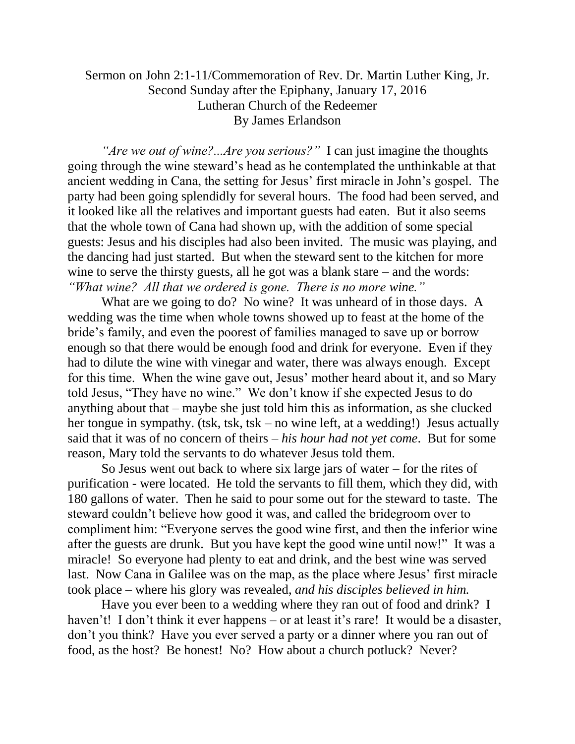## Sermon on John 2:1-11/Commemoration of Rev. Dr. Martin Luther King, Jr. Second Sunday after the Epiphany, January 17, 2016 Lutheran Church of the Redeemer By James Erlandson

*"Are we out of wine?...Are you serious?"* I can just imagine the thoughts going through the wine steward's head as he contemplated the unthinkable at that ancient wedding in Cana, the setting for Jesus' first miracle in John's gospel. The party had been going splendidly for several hours. The food had been served, and it looked like all the relatives and important guests had eaten. But it also seems that the whole town of Cana had shown up, with the addition of some special guests: Jesus and his disciples had also been invited. The music was playing, and the dancing had just started. But when the steward sent to the kitchen for more wine to serve the thirsty guests, all he got was a blank stare – and the words: *"What wine? All that we ordered is gone. There is no more wine."*

What are we going to do? No wine? It was unheard of in those days. A wedding was the time when whole towns showed up to feast at the home of the bride's family, and even the poorest of families managed to save up or borrow enough so that there would be enough food and drink for everyone. Even if they had to dilute the wine with vinegar and water, there was always enough. Except for this time. When the wine gave out, Jesus' mother heard about it, and so Mary told Jesus, "They have no wine." We don't know if she expected Jesus to do anything about that – maybe she just told him this as information, as she clucked her tongue in sympathy. (tsk, tsk, tsk – no wine left, at a wedding!) Jesus actually said that it was of no concern of theirs – *his hour had not yet come*. But for some reason, Mary told the servants to do whatever Jesus told them.

So Jesus went out back to where six large jars of water – for the rites of purification - were located. He told the servants to fill them, which they did, with 180 gallons of water. Then he said to pour some out for the steward to taste. The steward couldn't believe how good it was, and called the bridegroom over to compliment him: "Everyone serves the good wine first, and then the inferior wine after the guests are drunk. But you have kept the good wine until now!" It was a miracle! So everyone had plenty to eat and drink, and the best wine was served last. Now Cana in Galilee was on the map, as the place where Jesus' first miracle took place – where his glory was revealed, *and his disciples believed in him.*

Have you ever been to a wedding where they ran out of food and drink? I haven't! I don't think it ever happens – or at least it's rare! It would be a disaster, don't you think? Have you ever served a party or a dinner where you ran out of food, as the host? Be honest! No? How about a church potluck? Never?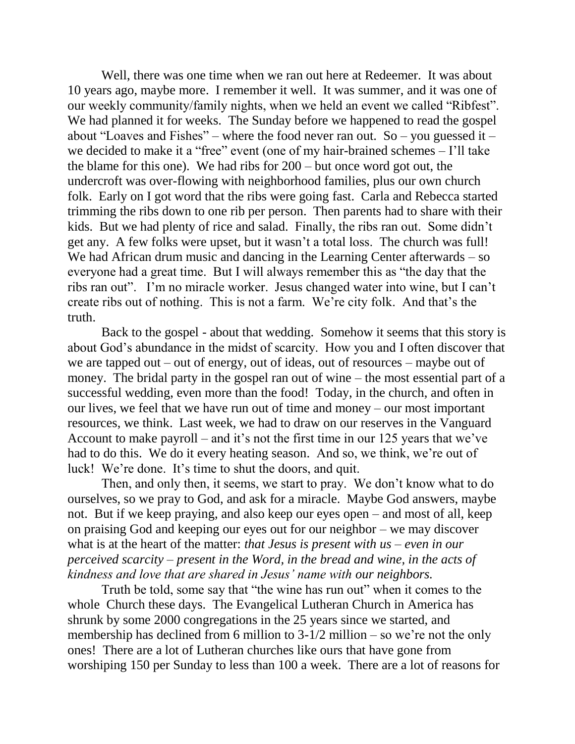Well, there was one time when we ran out here at Redeemer. It was about 10 years ago, maybe more. I remember it well. It was summer, and it was one of our weekly community/family nights, when we held an event we called "Ribfest". We had planned it for weeks. The Sunday before we happened to read the gospel about "Loaves and Fishes" – where the food never ran out. So – you guessed it – we decided to make it a "free" event (one of my hair-brained schemes – I'll take the blame for this one). We had ribs for 200 – but once word got out, the undercroft was over-flowing with neighborhood families, plus our own church folk. Early on I got word that the ribs were going fast. Carla and Rebecca started trimming the ribs down to one rib per person. Then parents had to share with their kids. But we had plenty of rice and salad. Finally, the ribs ran out. Some didn't get any. A few folks were upset, but it wasn't a total loss. The church was full! We had African drum music and dancing in the Learning Center afterwards – so everyone had a great time. But I will always remember this as "the day that the ribs ran out". I'm no miracle worker. Jesus changed water into wine, but I can't create ribs out of nothing. This is not a farm. We're city folk. And that's the truth.

Back to the gospel - about that wedding. Somehow it seems that this story is about God's abundance in the midst of scarcity. How you and I often discover that we are tapped out – out of energy, out of ideas, out of resources – maybe out of money. The bridal party in the gospel ran out of wine – the most essential part of a successful wedding, even more than the food! Today, in the church, and often in our lives, we feel that we have run out of time and money – our most important resources, we think. Last week, we had to draw on our reserves in the Vanguard Account to make payroll – and it's not the first time in our 125 years that we've had to do this. We do it every heating season. And so, we think, we're out of luck! We're done. It's time to shut the doors, and quit.

Then, and only then, it seems, we start to pray. We don't know what to do ourselves, so we pray to God, and ask for a miracle. Maybe God answers, maybe not. But if we keep praying, and also keep our eyes open – and most of all, keep on praising God and keeping our eyes out for our neighbor – we may discover what is at the heart of the matter: *that Jesus is present with us – even in our perceived scarcity – present in the Word, in the bread and wine, in the acts of kindness and love that are shared in Jesus' name with our neighbors.*

Truth be told, some say that "the wine has run out" when it comes to the whole Church these days. The Evangelical Lutheran Church in America has shrunk by some 2000 congregations in the 25 years since we started, and membership has declined from 6 million to  $3-1/2$  million – so we're not the only ones! There are a lot of Lutheran churches like ours that have gone from worshiping 150 per Sunday to less than 100 a week. There are a lot of reasons for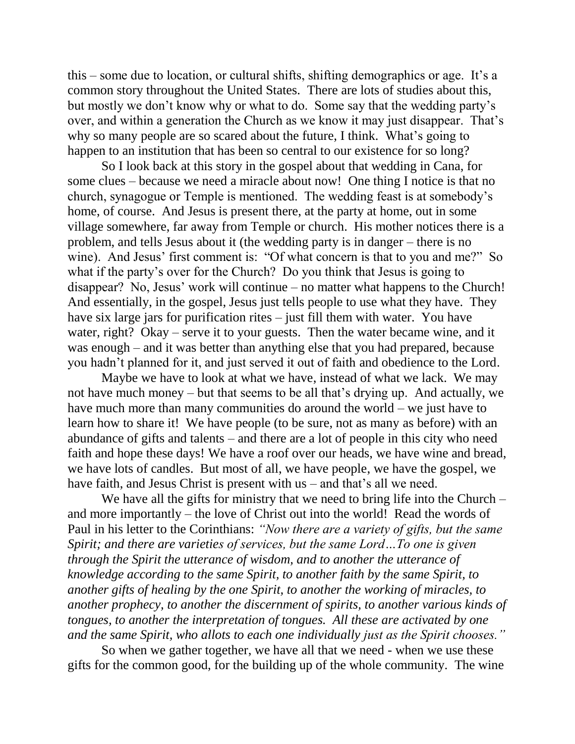this – some due to location, or cultural shifts, shifting demographics or age. It's a common story throughout the United States. There are lots of studies about this, but mostly we don't know why or what to do. Some say that the wedding party's over, and within a generation the Church as we know it may just disappear. That's why so many people are so scared about the future, I think. What's going to happen to an institution that has been so central to our existence for so long?

So I look back at this story in the gospel about that wedding in Cana, for some clues – because we need a miracle about now! One thing I notice is that no church, synagogue or Temple is mentioned. The wedding feast is at somebody's home, of course. And Jesus is present there, at the party at home, out in some village somewhere, far away from Temple or church. His mother notices there is a problem, and tells Jesus about it (the wedding party is in danger – there is no wine). And Jesus' first comment is: "Of what concern is that to you and me?" So what if the party's over for the Church? Do you think that Jesus is going to disappear? No, Jesus' work will continue – no matter what happens to the Church! And essentially, in the gospel, Jesus just tells people to use what they have. They have six large jars for purification rites – just fill them with water. You have water, right? Okay – serve it to your guests. Then the water became wine, and it was enough – and it was better than anything else that you had prepared, because you hadn't planned for it, and just served it out of faith and obedience to the Lord.

Maybe we have to look at what we have, instead of what we lack. We may not have much money – but that seems to be all that's drying up. And actually, we have much more than many communities do around the world – we just have to learn how to share it! We have people (to be sure, not as many as before) with an abundance of gifts and talents – and there are a lot of people in this city who need faith and hope these days! We have a roof over our heads, we have wine and bread, we have lots of candles. But most of all, we have people, we have the gospel, we have faith, and Jesus Christ is present with us – and that's all we need.

We have all the gifts for ministry that we need to bring life into the Church – and more importantly – the love of Christ out into the world! Read the words of Paul in his letter to the Corinthians: *"Now there are a variety of gifts, but the same Spirit; and there are varieties of services, but the same Lord…To one is given through the Spirit the utterance of wisdom, and to another the utterance of knowledge according to the same Spirit, to another faith by the same Spirit, to another gifts of healing by the one Spirit, to another the working of miracles, to another prophecy, to another the discernment of spirits, to another various kinds of tongues, to another the interpretation of tongues. All these are activated by one and the same Spirit, who allots to each one individually just as the Spirit chooses."*

So when we gather together, we have all that we need - when we use these gifts for the common good, for the building up of the whole community. The wine